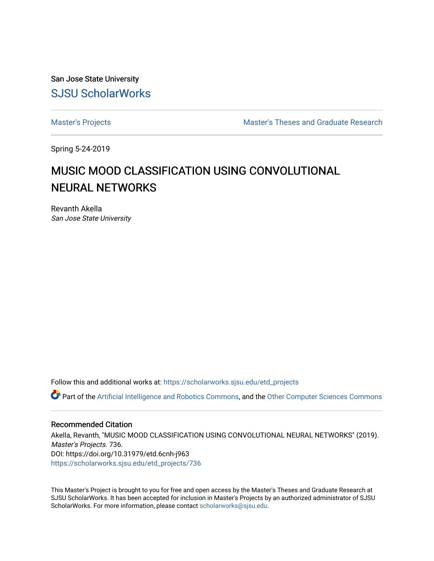San Jose State University [SJSU ScholarWorks](https://scholarworks.sjsu.edu/) 

[Master's Projects](https://scholarworks.sjsu.edu/etd_projects) [Master's Theses and Graduate Research](https://scholarworks.sjsu.edu/etd) 

Spring 5-24-2019

# MUSIC MOOD CLASSIFICATION USING CONVOLUTIONAL NEURAL NETWORKS

Revanth Akella San Jose State University

Follow this and additional works at: [https://scholarworks.sjsu.edu/etd\\_projects](https://scholarworks.sjsu.edu/etd_projects?utm_source=scholarworks.sjsu.edu%2Fetd_projects%2F736&utm_medium=PDF&utm_campaign=PDFCoverPages) 

Part of the [Artificial Intelligence and Robotics Commons](http://network.bepress.com/hgg/discipline/143?utm_source=scholarworks.sjsu.edu%2Fetd_projects%2F736&utm_medium=PDF&utm_campaign=PDFCoverPages), and the [Other Computer Sciences Commons](http://network.bepress.com/hgg/discipline/152?utm_source=scholarworks.sjsu.edu%2Fetd_projects%2F736&utm_medium=PDF&utm_campaign=PDFCoverPages)

#### Recommended Citation

Akella, Revanth, "MUSIC MOOD CLASSIFICATION USING CONVOLUTIONAL NEURAL NETWORKS" (2019). Master's Projects. 736. DOI: https://doi.org/10.31979/etd.6cnh-j963 [https://scholarworks.sjsu.edu/etd\\_projects/736](https://scholarworks.sjsu.edu/etd_projects/736?utm_source=scholarworks.sjsu.edu%2Fetd_projects%2F736&utm_medium=PDF&utm_campaign=PDFCoverPages) 

This Master's Project is brought to you for free and open access by the Master's Theses and Graduate Research at SJSU ScholarWorks. It has been accepted for inclusion in Master's Projects by an authorized administrator of SJSU ScholarWorks. For more information, please contact [scholarworks@sjsu.edu](mailto:scholarworks@sjsu.edu).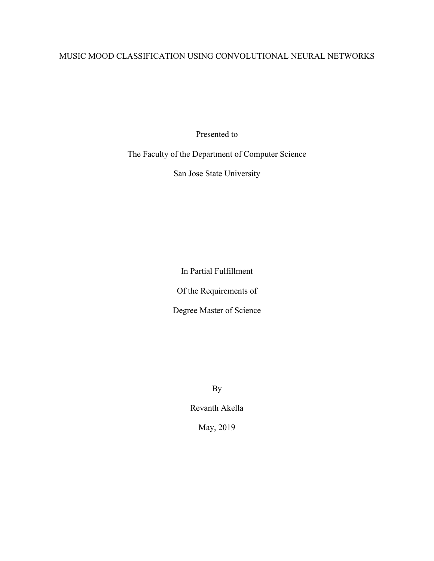# MUSIC MOOD CLASSIFICATION USING CONVOLUTIONAL NEURAL NETWORKS

Presented to

The Faculty of the Department of Computer Science

San Jose State University

In Partial Fulfillment

Of the Requirements of

Degree Master of Science

By

Revanth Akella

May, 2019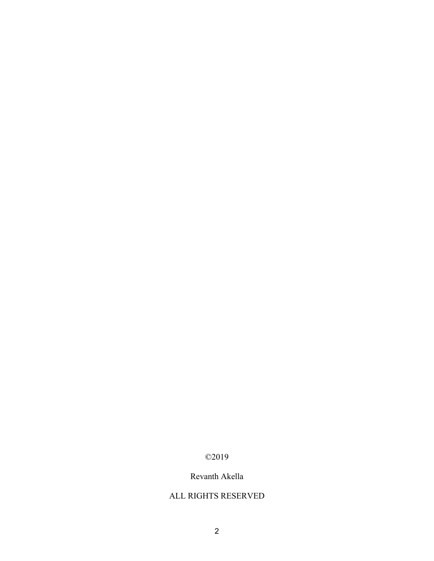# ©2019

# Revanth Akella

# ALL RIGHTS RESERVED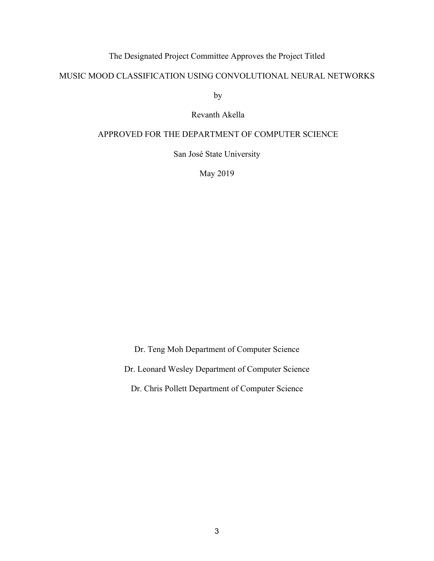# The Designated Project Committee Approves the Project Titled

## MUSIC MOOD CLASSIFICATION USING CONVOLUTIONAL NEURAL NETWORKS

by

Revanth Akella

## APPROVED FOR THE DEPARTMENT OF COMPUTER SCIENCE

San José State University

May 2019

Dr. Teng Moh Department of Computer Science Dr. Leonard Wesley Department of Computer Science

Dr. Chris Pollett Department of Computer Science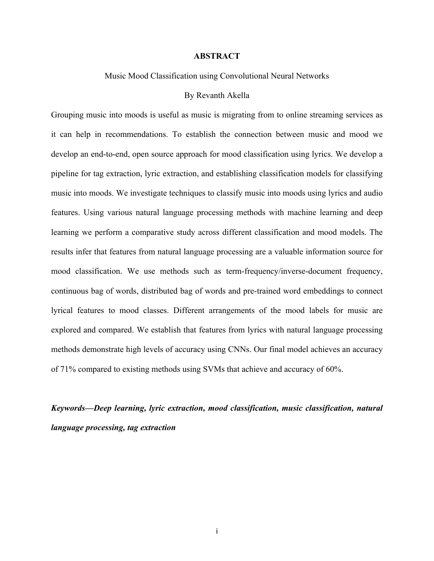#### **ABSTRACT**

#### Music Mood Classification using Convolutional Neural Networks

#### By Revanth Akella

Grouping music into moods is useful as music is migrating from to online streaming services as it can help in recommendations. To establish the connection between music and mood we develop an end-to-end, open source approach for mood classification using lyrics. We develop a pipeline for tag extraction, lyric extraction, and establishing classification models for classifying music into moods. We investigate techniques to classify music into moods using lyrics and audio features. Using various natural language processing methods with machine learning and deep learning we perform a comparative study across different classification and mood models. The results infer that features from natural language processing are a valuable information source for mood classification. We use methods such as term-frequency/inverse-document frequency, continuous bag of words, distributed bag of words and pre-trained word embeddings to connect lyrical features to mood classes. Different arrangements of the mood labels for music are explored and compared. We establish that features from lyrics with natural language processing methods demonstrate high levels of accuracy using CNNs. Our final model achieves an accuracy of 71% compared to existing methods using SVMs that achieve and accuracy of 60%.

*Keywords—Deep learning, lyric extraction, mood classification, music classification, natural language processing, tag extraction*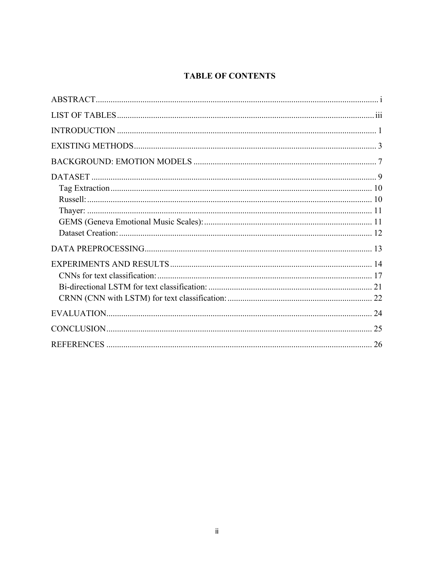# **TABLE OF CONTENTS**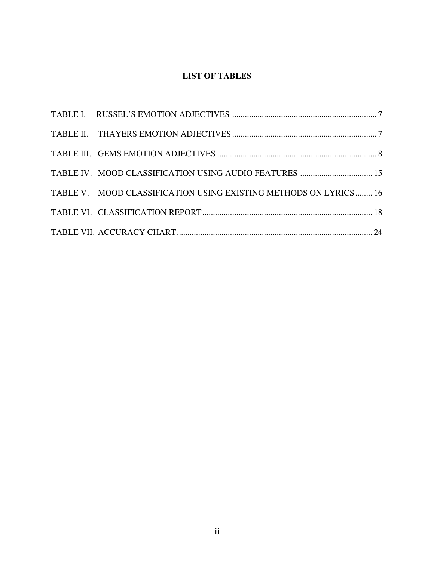# **LIST OF TABLES**

| TABLE V. MOOD CLASSIFICATION USING EXISTING METHODS ON LYRICS  16 |  |
|-------------------------------------------------------------------|--|
|                                                                   |  |
|                                                                   |  |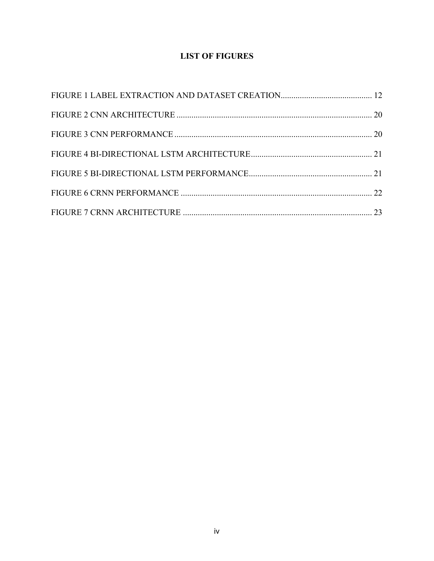# **LIST OF FIGURES**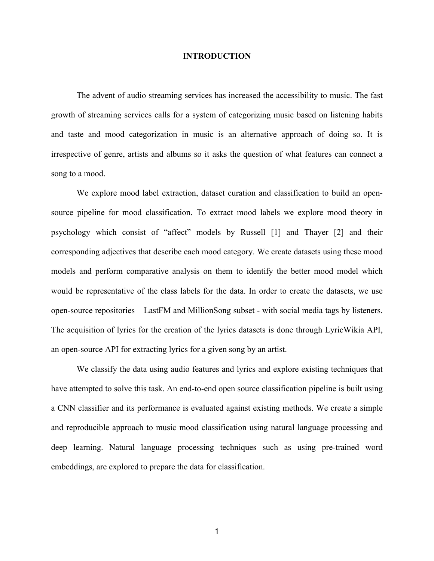#### **INTRODUCTION**

The advent of audio streaming services has increased the accessibility to music. The fast growth of streaming services calls for a system of categorizing music based on listening habits and taste and mood categorization in music is an alternative approach of doing so. It is irrespective of genre, artists and albums so it asks the question of what features can connect a song to a mood.

We explore mood label extraction, dataset curation and classification to build an opensource pipeline for mood classification. To extract mood labels we explore mood theory in psychology which consist of "affect" models by Russell [1] and Thayer [2] and their corresponding adjectives that describe each mood category. We create datasets using these mood models and perform comparative analysis on them to identify the better mood model which would be representative of the class labels for the data. In order to create the datasets, we use open-source repositories – LastFM and MillionSong subset - with social media tags by listeners. The acquisition of lyrics for the creation of the lyrics datasets is done through LyricWikia API, an open-source API for extracting lyrics for a given song by an artist.

We classify the data using audio features and lyrics and explore existing techniques that have attempted to solve this task. An end-to-end open source classification pipeline is built using a CNN classifier and its performance is evaluated against existing methods. We create a simple and reproducible approach to music mood classification using natural language processing and deep learning. Natural language processing techniques such as using pre-trained word embeddings, are explored to prepare the data for classification.

1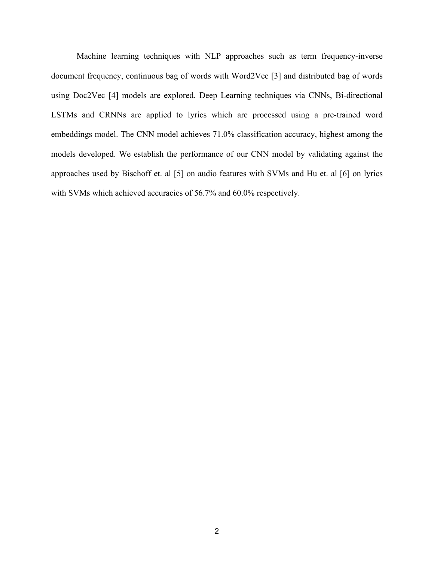Machine learning techniques with NLP approaches such as term frequency-inverse document frequency, continuous bag of words with Word2Vec [3] and distributed bag of words using Doc2Vec [4] models are explored. Deep Learning techniques via CNNs, Bi-directional LSTMs and CRNNs are applied to lyrics which are processed using a pre-trained word embeddings model. The CNN model achieves 71.0% classification accuracy, highest among the models developed. We establish the performance of our CNN model by validating against the approaches used by Bischoff et. al [5] on audio features with SVMs and Hu et. al [6] on lyrics with SVMs which achieved accuracies of 56.7% and 60.0% respectively.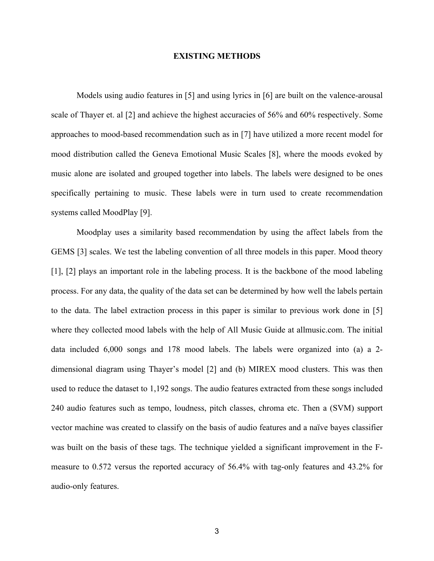#### **EXISTING METHODS**

Models using audio features in [5] and using lyrics in [6] are built on the valence-arousal scale of Thayer et. al [2] and achieve the highest accuracies of 56% and 60% respectively. Some approaches to mood-based recommendation such as in [7] have utilized a more recent model for mood distribution called the Geneva Emotional Music Scales [8], where the moods evoked by music alone are isolated and grouped together into labels. The labels were designed to be ones specifically pertaining to music. These labels were in turn used to create recommendation systems called MoodPlay [9].

Moodplay uses a similarity based recommendation by using the affect labels from the GEMS [3] scales. We test the labeling convention of all three models in this paper. Mood theory [1], [2] plays an important role in the labeling process. It is the backbone of the mood labeling process. For any data, the quality of the data set can be determined by how well the labels pertain to the data. The label extraction process in this paper is similar to previous work done in [5] where they collected mood labels with the help of All Music Guide at allmusic.com. The initial data included 6,000 songs and 178 mood labels. The labels were organized into (a) a 2 dimensional diagram using Thayer's model [2] and (b) MIREX mood clusters. This was then used to reduce the dataset to 1,192 songs. The audio features extracted from these songs included 240 audio features such as tempo, loudness, pitch classes, chroma etc. Then a (SVM) support vector machine was created to classify on the basis of audio features and a naïve bayes classifier was built on the basis of these tags. The technique yielded a significant improvement in the Fmeasure to 0.572 versus the reported accuracy of 56.4% with tag-only features and 43.2% for audio-only features.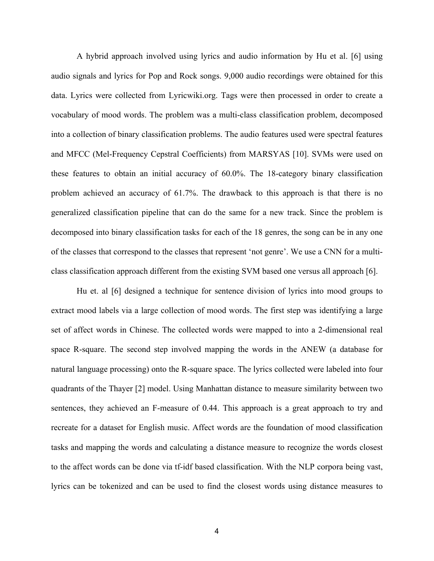A hybrid approach involved using lyrics and audio information by Hu et al. [6] using audio signals and lyrics for Pop and Rock songs. 9,000 audio recordings were obtained for this data. Lyrics were collected from Lyricwiki.org. Tags were then processed in order to create a vocabulary of mood words. The problem was a multi-class classification problem, decomposed into a collection of binary classification problems. The audio features used were spectral features and MFCC (Mel-Frequency Cepstral Coefficients) from MARSYAS [10]. SVMs were used on these features to obtain an initial accuracy of 60.0%. The 18-category binary classification problem achieved an accuracy of 61.7%. The drawback to this approach is that there is no generalized classification pipeline that can do the same for a new track. Since the problem is decomposed into binary classification tasks for each of the 18 genres, the song can be in any one of the classes that correspond to the classes that represent 'not genre'. We use a CNN for a multiclass classification approach different from the existing SVM based one versus all approach [6].

Hu et. al [6] designed a technique for sentence division of lyrics into mood groups to extract mood labels via a large collection of mood words. The first step was identifying a large set of affect words in Chinese. The collected words were mapped to into a 2-dimensional real space R-square. The second step involved mapping the words in the ANEW (a database for natural language processing) onto the R-square space. The lyrics collected were labeled into four quadrants of the Thayer [2] model. Using Manhattan distance to measure similarity between two sentences, they achieved an F-measure of 0.44. This approach is a great approach to try and recreate for a dataset for English music. Affect words are the foundation of mood classification tasks and mapping the words and calculating a distance measure to recognize the words closest to the affect words can be done via tf-idf based classification. With the NLP corpora being vast, lyrics can be tokenized and can be used to find the closest words using distance measures to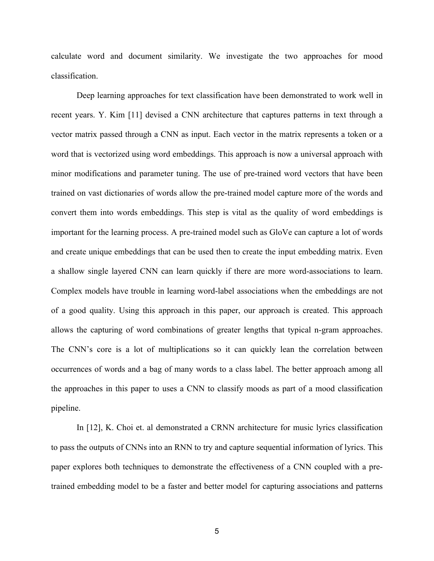calculate word and document similarity. We investigate the two approaches for mood classification.

Deep learning approaches for text classification have been demonstrated to work well in recent years. Y. Kim [11] devised a CNN architecture that captures patterns in text through a vector matrix passed through a CNN as input. Each vector in the matrix represents a token or a word that is vectorized using word embeddings. This approach is now a universal approach with minor modifications and parameter tuning. The use of pre-trained word vectors that have been trained on vast dictionaries of words allow the pre-trained model capture more of the words and convert them into words embeddings. This step is vital as the quality of word embeddings is important for the learning process. A pre-trained model such as GloVe can capture a lot of words and create unique embeddings that can be used then to create the input embedding matrix. Even a shallow single layered CNN can learn quickly if there are more word-associations to learn. Complex models have trouble in learning word-label associations when the embeddings are not of a good quality. Using this approach in this paper, our approach is created. This approach allows the capturing of word combinations of greater lengths that typical n-gram approaches. The CNN's core is a lot of multiplications so it can quickly lean the correlation between occurrences of words and a bag of many words to a class label. The better approach among all the approaches in this paper to uses a CNN to classify moods as part of a mood classification pipeline.

In [12], K. Choi et. al demonstrated a CRNN architecture for music lyrics classification to pass the outputs of CNNs into an RNN to try and capture sequential information of lyrics. This paper explores both techniques to demonstrate the effectiveness of a CNN coupled with a pretrained embedding model to be a faster and better model for capturing associations and patterns

5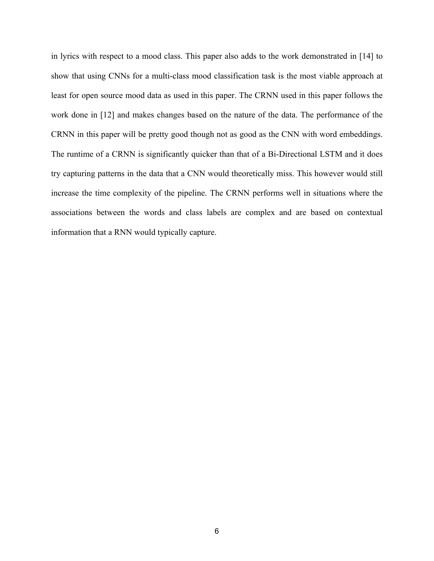in lyrics with respect to a mood class. This paper also adds to the work demonstrated in [14] to show that using CNNs for a multi-class mood classification task is the most viable approach at least for open source mood data as used in this paper. The CRNN used in this paper follows the work done in [12] and makes changes based on the nature of the data. The performance of the CRNN in this paper will be pretty good though not as good as the CNN with word embeddings. The runtime of a CRNN is significantly quicker than that of a Bi-Directional LSTM and it does try capturing patterns in the data that a CNN would theoretically miss. This however would still increase the time complexity of the pipeline. The CRNN performs well in situations where the associations between the words and class labels are complex and are based on contextual information that a RNN would typically capture.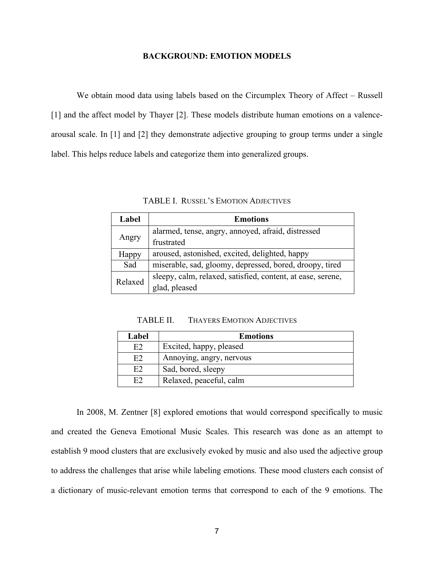#### **BACKGROUND: EMOTION MODELS**

We obtain mood data using labels based on the Circumplex Theory of Affect – Russell [1] and the affect model by Thayer [2]. These models distribute human emotions on a valencearousal scale. In [1] and [2] they demonstrate adjective grouping to group terms under a single label. This helps reduce labels and categorize them into generalized groups.

| Label   | <b>Emotions</b>                                             |
|---------|-------------------------------------------------------------|
|         | alarmed, tense, angry, annoyed, afraid, distressed          |
| Angry   | frustrated                                                  |
| Happy   | aroused, astonished, excited, delighted, happy              |
| Sad     | miserable, sad, gloomy, depressed, bored, droopy, tired     |
| Relaxed | sleepy, calm, relaxed, satisfied, content, at ease, serene, |
|         | glad, pleased                                               |

TABLE I. RUSSEL'S EMOTION ADJECTIVES

TABLE II. THAYERS EMOTION ADJECTIVES

| Label | <b>Emotions</b>          |
|-------|--------------------------|
| E2    | Excited, happy, pleased  |
| E2    | Annoying, angry, nervous |
| E2    | Sad, bored, sleepy       |
| E2    | Relaxed, peaceful, calm  |

In 2008, M. Zentner [8] explored emotions that would correspond specifically to music and created the Geneva Emotional Music Scales. This research was done as an attempt to establish 9 mood clusters that are exclusively evoked by music and also used the adjective group to address the challenges that arise while labeling emotions. These mood clusters each consist of a dictionary of music-relevant emotion terms that correspond to each of the 9 emotions. The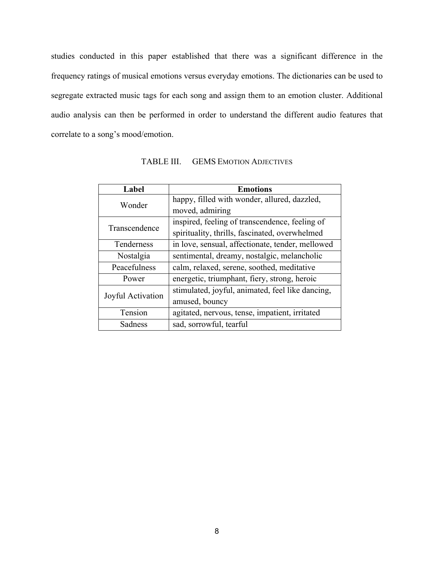studies conducted in this paper established that there was a significant difference in the frequency ratings of musical emotions versus everyday emotions. The dictionaries can be used to segregate extracted music tags for each song and assign them to an emotion cluster. Additional audio analysis can then be performed in order to understand the different audio features that correlate to a song's mood/emotion.

| Label             | <b>Emotions</b>                                  |  |  |
|-------------------|--------------------------------------------------|--|--|
| Wonder            | happy, filled with wonder, allured, dazzled,     |  |  |
|                   | moved, admiring                                  |  |  |
|                   | inspired, feeling of transcendence, feeling of   |  |  |
| Transcendence     | spirituality, thrills, fascinated, overwhelmed   |  |  |
| Tenderness        | in love, sensual, affectionate, tender, mellowed |  |  |
| Nostalgia         | sentimental, dreamy, nostalgic, melancholic      |  |  |
| Peacefulness      | calm, relaxed, serene, soothed, meditative       |  |  |
| Power             | energetic, triumphant, fiery, strong, heroic     |  |  |
| Joyful Activation | stimulated, joyful, animated, feel like dancing, |  |  |
|                   | amused, bouncy                                   |  |  |
| Tension           | agitated, nervous, tense, impatient, irritated   |  |  |
| Sadness           | sad, sorrowful, tearful                          |  |  |

TABLE III. GEMS EMOTION ADJECTIVES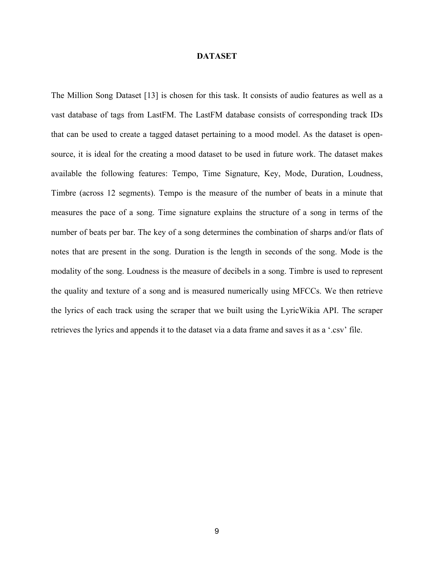#### **DATASET**

The Million Song Dataset [13] is chosen for this task. It consists of audio features as well as a vast database of tags from LastFM. The LastFM database consists of corresponding track IDs that can be used to create a tagged dataset pertaining to a mood model. As the dataset is opensource, it is ideal for the creating a mood dataset to be used in future work. The dataset makes available the following features: Tempo, Time Signature, Key, Mode, Duration, Loudness, Timbre (across 12 segments). Tempo is the measure of the number of beats in a minute that measures the pace of a song. Time signature explains the structure of a song in terms of the number of beats per bar. The key of a song determines the combination of sharps and/or flats of notes that are present in the song. Duration is the length in seconds of the song. Mode is the modality of the song. Loudness is the measure of decibels in a song. Timbre is used to represent the quality and texture of a song and is measured numerically using MFCCs. We then retrieve the lyrics of each track using the scraper that we built using the LyricWikia API. The scraper retrieves the lyrics and appends it to the dataset via a data frame and saves it as a '.csv' file.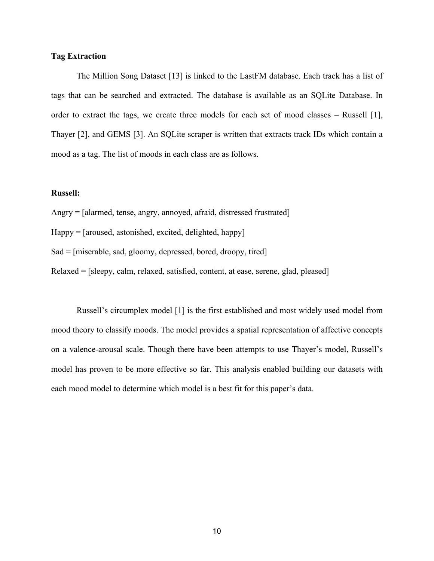#### **Tag Extraction**

The Million Song Dataset [13] is linked to the LastFM database. Each track has a list of tags that can be searched and extracted. The database is available as an SQLite Database. In order to extract the tags, we create three models for each set of mood classes – Russell [1], Thayer [2], and GEMS [3]. An SQLite scraper is written that extracts track IDs which contain a mood as a tag. The list of moods in each class are as follows.

#### **Russell:**

- Angry = [alarmed, tense, angry, annoyed, afraid, distressed frustrated]
- Happy = [aroused, astonished, excited, delighted, happy]
- Sad = [miserable, sad, gloomy, depressed, bored, droopy, tired]
- Relaxed = [sleepy, calm, relaxed, satisfied, content, at ease, serene, glad, pleased]

Russell's circumplex model [1] is the first established and most widely used model from mood theory to classify moods. The model provides a spatial representation of affective concepts on a valence-arousal scale. Though there have been attempts to use Thayer's model, Russell's model has proven to be more effective so far. This analysis enabled building our datasets with each mood model to determine which model is a best fit for this paper's data.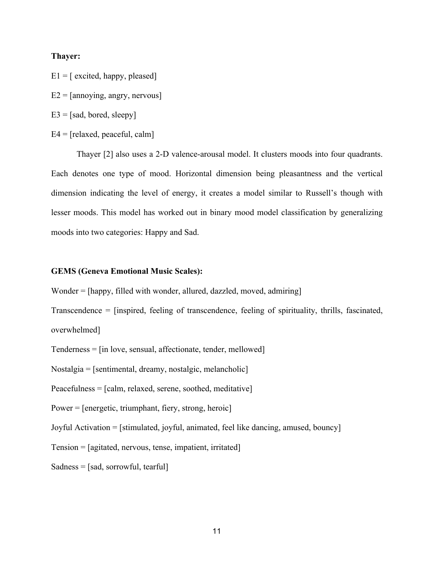#### **Thayer:**

- $E1 = [excited, happy, pleased]$
- $E2 =$ [annoying, angry, nervous]
- $E3 = [sad, bored, sleepv]$
- $E4 = [relaxed, peaceful, calm]$

Thayer [2] also uses a 2-D valence-arousal model. It clusters moods into four quadrants. Each denotes one type of mood. Horizontal dimension being pleasantness and the vertical dimension indicating the level of energy, it creates a model similar to Russell's though with lesser moods. This model has worked out in binary mood model classification by generalizing moods into two categories: Happy and Sad.

#### **GEMS (Geneva Emotional Music Scales):**

Wonder = [happy, filled with wonder, allured, dazzled, moved, admiring]

Transcendence = [inspired, feeling of transcendence, feeling of spirituality, thrills, fascinated, overwhelmed]

Tenderness = [in love, sensual, affectionate, tender, mellowed]

Nostalgia = [sentimental, dreamy, nostalgic, melancholic]

Peacefulness = [calm, relaxed, serene, soothed, meditative]

Power = [energetic, triumphant, fiery, strong, heroic]

Joyful Activation = [stimulated, joyful, animated, feel like dancing, amused, bouncy]

Tension = [agitated, nervous, tense, impatient, irritated]

Sadness = [sad, sorrowful, tearful]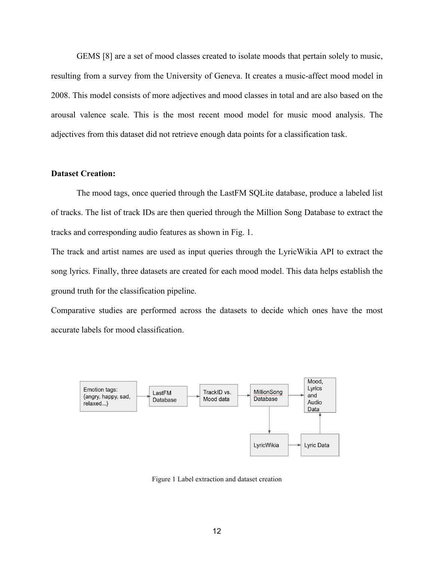GEMS [8] are a set of mood classes created to isolate moods that pertain solely to music, resulting from a survey from the University of Geneva. It creates a music-affect mood model in 2008. This model consists of more adjectives and mood classes in total and are also based on the arousal valence scale. This is the most recent mood model for music mood analysis. The adjectives from this dataset did not retrieve enough data points for a classification task.

### **Dataset Creation:**

The mood tags, once queried through the LastFM SQLite database, produce a labeled list of tracks. The list of track IDs are then queried through the Million Song Database to extract the tracks and corresponding audio features as shown in Fig. 1.

The track and artist names are used as input queries through the LyricWikia API to extract the song lyrics. Finally, three datasets are created for each mood model. This data helps establish the ground truth for the classification pipeline.

Comparative studies are performed across the datasets to decide which ones have the most accurate labels for mood classification.



Figure 1 Label extraction and dataset creation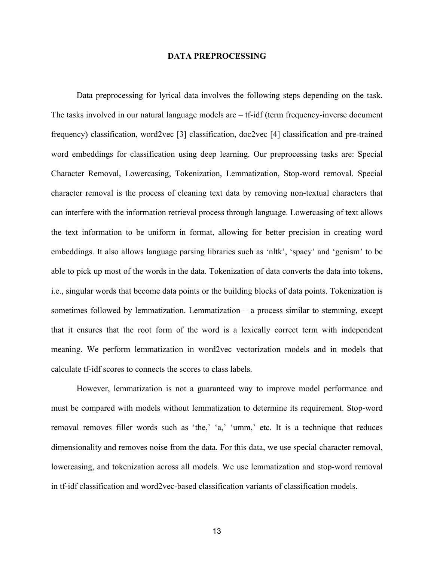#### **DATA PREPROCESSING**

Data preprocessing for lyrical data involves the following steps depending on the task. The tasks involved in our natural language models are – tf-idf (term frequency-inverse document frequency) classification, word2vec [3] classification, doc2vec [4] classification and pre-trained word embeddings for classification using deep learning. Our preprocessing tasks are: Special Character Removal, Lowercasing, Tokenization, Lemmatization, Stop-word removal. Special character removal is the process of cleaning text data by removing non-textual characters that can interfere with the information retrieval process through language. Lowercasing of text allows the text information to be uniform in format, allowing for better precision in creating word embeddings. It also allows language parsing libraries such as 'nltk', 'spacy' and 'genism' to be able to pick up most of the words in the data. Tokenization of data converts the data into tokens, i.e., singular words that become data points or the building blocks of data points. Tokenization is sometimes followed by lemmatization. Lemmatization – a process similar to stemming, except that it ensures that the root form of the word is a lexically correct term with independent meaning. We perform lemmatization in word2vec vectorization models and in models that calculate tf-idf scores to connects the scores to class labels.

However, lemmatization is not a guaranteed way to improve model performance and must be compared with models without lemmatization to determine its requirement. Stop-word removal removes filler words such as 'the,' 'a,' 'umm,' etc. It is a technique that reduces dimensionality and removes noise from the data. For this data, we use special character removal, lowercasing, and tokenization across all models. We use lemmatization and stop-word removal in tf-idf classification and word2vec-based classification variants of classification models.

13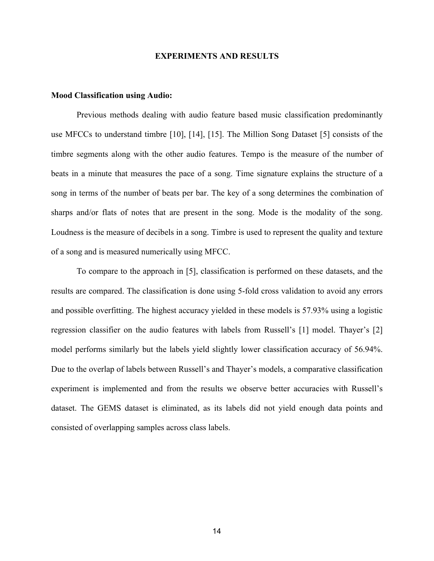#### **EXPERIMENTS AND RESULTS**

#### **Mood Classification using Audio:**

Previous methods dealing with audio feature based music classification predominantly use MFCCs to understand timbre [10], [14], [15]. The Million Song Dataset [5] consists of the timbre segments along with the other audio features. Tempo is the measure of the number of beats in a minute that measures the pace of a song. Time signature explains the structure of a song in terms of the number of beats per bar. The key of a song determines the combination of sharps and/or flats of notes that are present in the song. Mode is the modality of the song. Loudness is the measure of decibels in a song. Timbre is used to represent the quality and texture of a song and is measured numerically using MFCC.

To compare to the approach in [5], classification is performed on these datasets, and the results are compared. The classification is done using 5-fold cross validation to avoid any errors and possible overfitting. The highest accuracy yielded in these models is 57.93% using a logistic regression classifier on the audio features with labels from Russell's [1] model. Thayer's [2] model performs similarly but the labels yield slightly lower classification accuracy of 56.94%. Due to the overlap of labels between Russell's and Thayer's models, a comparative classification experiment is implemented and from the results we observe better accuracies with Russell's dataset. The GEMS dataset is eliminated, as its labels did not yield enough data points and consisted of overlapping samples across class labels.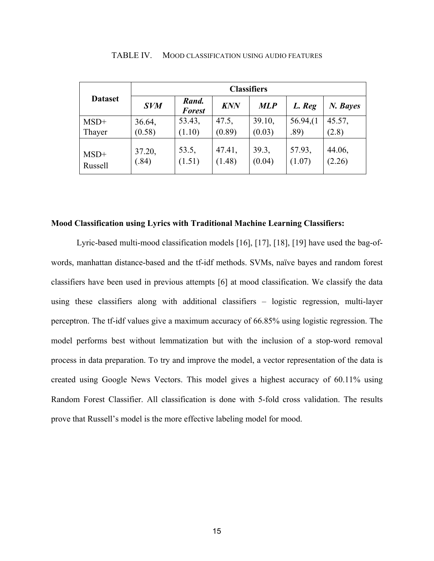|                | <b>Classifiers</b> |                        |            |            |          |          |
|----------------|--------------------|------------------------|------------|------------|----------|----------|
| <b>Dataset</b> | <b>SVM</b>         | Rand.<br><b>Forest</b> | <b>KNN</b> | <b>MLP</b> | L. Reg   | N. Bayes |
| $MSD+$         | 36.64,             | 53.43,                 | 47.5,      | 39.10,     | 56.94(1) | 45.57,   |
| Thayer         | (0.58)             | (1.10)                 | (0.89)     | (0.03)     | .89)     | (2.8)    |
| $MSD+$         | 37.20,             | 53.5,                  | 47.41,     | 39.3,      | 57.93,   | 44.06,   |
| Russell        | (.84)              | (1.51)                 | (1.48)     | (0.04)     | (1.07)   | (2.26)   |

TABLE IV. MOOD CLASSIFICATION USING AUDIO FEATURES

#### **Mood Classification using Lyrics with Traditional Machine Learning Classifiers:**

Lyric-based multi-mood classification models [16], [17], [18], [19] have used the bag-ofwords, manhattan distance-based and the tf-idf methods. SVMs, naïve bayes and random forest classifiers have been used in previous attempts [6] at mood classification. We classify the data using these classifiers along with additional classifiers – logistic regression, multi-layer perceptron. The tf-idf values give a maximum accuracy of 66.85% using logistic regression. The model performs best without lemmatization but with the inclusion of a stop-word removal process in data preparation. To try and improve the model, a vector representation of the data is created using Google News Vectors. This model gives a highest accuracy of 60.11% using Random Forest Classifier. All classification is done with 5-fold cross validation. The results prove that Russell's model is the more effective labeling model for mood.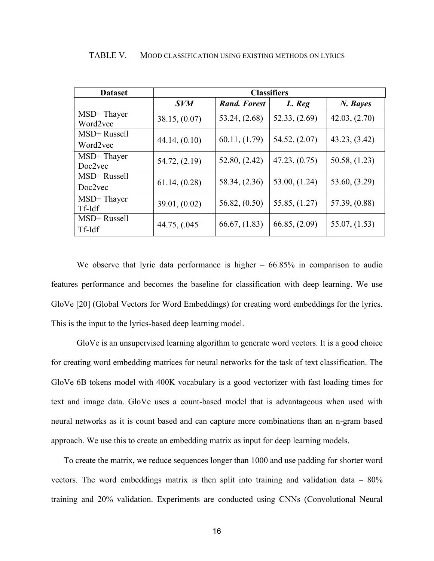| <b>Dataset</b>         | <b>Classifiers</b> |                     |                 |                 |
|------------------------|--------------------|---------------------|-----------------|-----------------|
|                        | <b>SVM</b>         | <b>Rand. Forest</b> | L. Reg          | N. Bayes        |
| MSD+Thayer<br>Word2yec | 38.15, (0.07)      | 53.24, (2.68)       | 52.33, (2.69)   | 42.03, (2.70)   |
| MSD+ Russell           |                    | 60.11, (1.79)       | 54.52, $(2.07)$ | 43.23, (3.42)   |
| Word2vec               | 44.14, (0.10)      |                     |                 |                 |
| MSD+Thayer             | 54.72, (2.19)      | 52.80, (2.42)       | 47.23, (0.75)   | 50.58, (1.23)   |
| Doc2vec                |                    |                     |                 |                 |
| MSD+ Russell           | 61.14, (0.28)      | 58.34, $(2.36)$     | 53.00, (1.24)   | 53.60, (3.29)   |
| Doc2vec                |                    |                     |                 |                 |
| MSD+Thayer             | 39.01, (0.02)      | 56.82, $(0.50)$     | 55.85, (1.27)   | 57.39, $(0.88)$ |
| Tf-Idf                 |                    |                     |                 |                 |
| MSD+ Russell           |                    | 66.67, (1.83)       | 66.85, (2.09)   | 55.07, (1.53)   |
| Tf-Idf                 | 44.75, $(.045)$    |                     |                 |                 |

TABLE V. MOOD CLASSIFICATION USING EXISTING METHODS ON LYRICS

We observe that lyric data performance is higher  $-66.85\%$  in comparison to audio features performance and becomes the baseline for classification with deep learning. We use GloVe [20] (Global Vectors for Word Embeddings) for creating word embeddings for the lyrics. This is the input to the lyrics-based deep learning model.

GloVe is an unsupervised learning algorithm to generate word vectors. It is a good choice for creating word embedding matrices for neural networks for the task of text classification. The GloVe 6B tokens model with 400K vocabulary is a good vectorizer with fast loading times for text and image data. GloVe uses a count-based model that is advantageous when used with neural networks as it is count based and can capture more combinations than an n-gram based approach. We use this to create an embedding matrix as input for deep learning models.

To create the matrix, we reduce sequences longer than 1000 and use padding for shorter word vectors. The word embeddings matrix is then split into training and validation data – 80% training and 20% validation. Experiments are conducted using CNNs (Convolutional Neural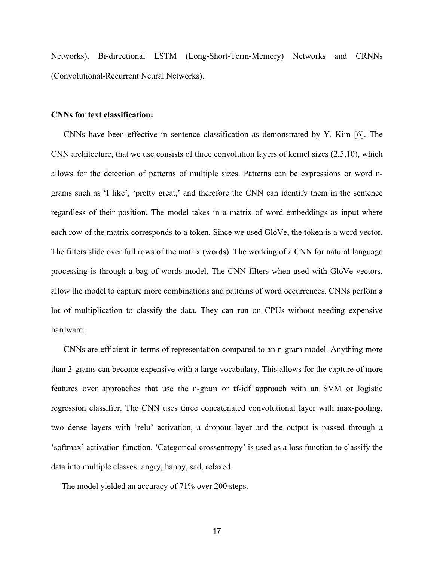Networks), Bi-directional LSTM (Long-Short-Term-Memory) Networks and CRNNs (Convolutional-Recurrent Neural Networks).

#### **CNNs for text classification:**

CNNs have been effective in sentence classification as demonstrated by Y. Kim [6]. The CNN architecture, that we use consists of three convolution layers of kernel sizes (2,5,10), which allows for the detection of patterns of multiple sizes. Patterns can be expressions or word ngrams such as 'I like', 'pretty great,' and therefore the CNN can identify them in the sentence regardless of their position. The model takes in a matrix of word embeddings as input where each row of the matrix corresponds to a token. Since we used GloVe, the token is a word vector. The filters slide over full rows of the matrix (words). The working of a CNN for natural language processing is through a bag of words model. The CNN filters when used with GloVe vectors, allow the model to capture more combinations and patterns of word occurrences. CNNs perfom a lot of multiplication to classify the data. They can run on CPUs without needing expensive hardware.

CNNs are efficient in terms of representation compared to an n-gram model. Anything more than 3-grams can become expensive with a large vocabulary. This allows for the capture of more features over approaches that use the n-gram or tf-idf approach with an SVM or logistic regression classifier. The CNN uses three concatenated convolutional layer with max-pooling, two dense layers with 'relu' activation, a dropout layer and the output is passed through a 'softmax' activation function. 'Categorical crossentropy' is used as a loss function to classify the data into multiple classes: angry, happy, sad, relaxed.

The model yielded an accuracy of 71% over 200 steps.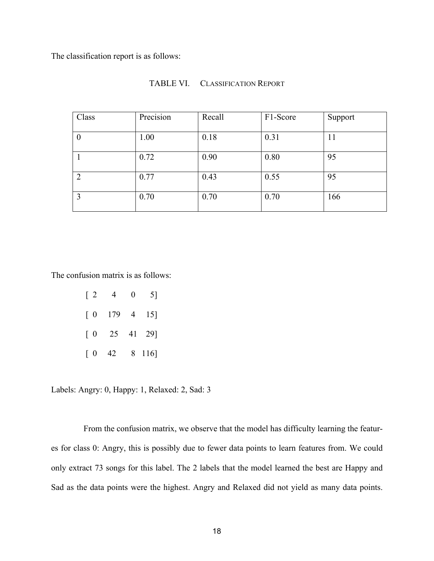The classification report is as follows:

| Class    | Precision | Recall | F1-Score | Support |
|----------|-----------|--------|----------|---------|
|          |           |        |          |         |
| $\theta$ | 1.00      | 0.18   | 0.31     | 11      |
|          |           |        |          |         |
|          | 0.72      | 0.90   | 0.80     | 95      |
| 2        | 0.77      | 0.43   | 0.55     | 95      |
| 3        | 0.70      | 0.70   | 0.70     | 166     |

#### TABLE VI. CLASSIFICATION REPORT

The confusion matrix is as follows:

| $\lceil 2$                             | 4                                                | 0 | 5]     |
|----------------------------------------|--------------------------------------------------|---|--------|
|                                        | $\begin{bmatrix} 0 & 179 & 4 & 15 \end{bmatrix}$ |   |        |
| [0                                     | 25 41 29]                                        |   |        |
| $\begin{bmatrix} 0 & 42 \end{bmatrix}$ |                                                  |   | 8 116] |

Labels: Angry: 0, Happy: 1, Relaxed: 2, Sad: 3

From the confusion matrix, we observe that the model has difficulty learning the features for class 0: Angry, this is possibly due to fewer data points to learn features from. We could only extract 73 songs for this label. The 2 labels that the model learned the best are Happy and Sad as the data points were the highest. Angry and Relaxed did not yield as many data points.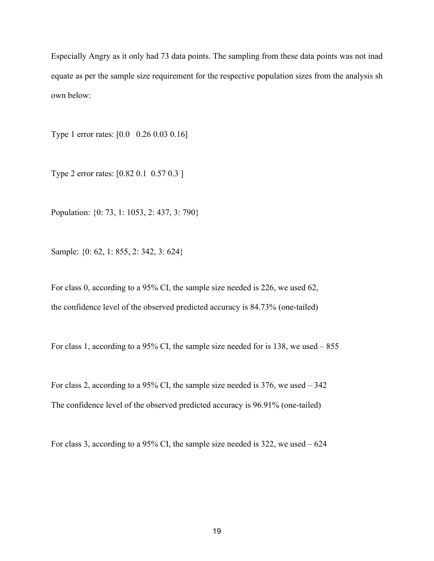Especially Angry as it only had 73 data points. The sampling from these data points was not inad equate as per the sample size requirement for the respective population sizes from the analysis sh own below:

Type 1 error rates: [0.0 0.26 0.03 0.16]

Type 2 error rates: [0.82 0.1 0.57 0.3 ]

Population: {0: 73, 1: 1053, 2: 437, 3: 790}

Sample: {0: 62, 1: 855, 2: 342, 3: 624}

For class 0, according to a 95% CI, the sample size needed is 226, we used 62, the confidence level of the observed predicted accuracy is 84.73% (one-tailed)

For class 1, according to a 95% CI, the sample size needed for is 138, we used – 855

For class 2, according to a 95% CI, the sample size needed is 376, we used – 342 The confidence level of the observed predicted accuracy is 96.91% (one-tailed)

For class 3, according to a 95% CI, the sample size needed is 322, we used  $-624$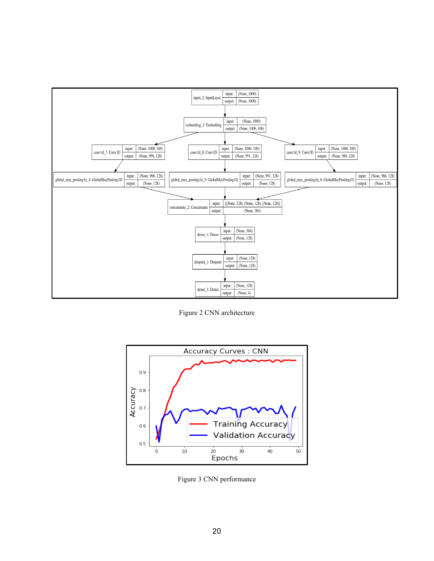

Figure 2 CNN architecture



Figure 3 CNN performance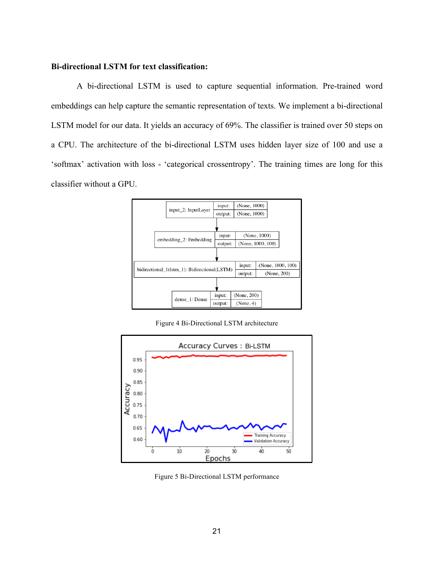### **Bi-directional LSTM for text classification:**

A bi-directional LSTM is used to capture sequential information. Pre-trained word embeddings can help capture the semantic representation of texts. We implement a bi-directional LSTM model for our data. It yields an accuracy of 69%. The classifier is trained over 50 steps on a CPU. The architecture of the bi-directional LSTM uses hidden layer size of 100 and use a 'softmax' activation with loss - 'categorical crossentropy'. The training times are long for this classifier without a GPU.



Figure 4 Bi-Directional LSTM architecture



Figure 5 Bi-Directional LSTM performance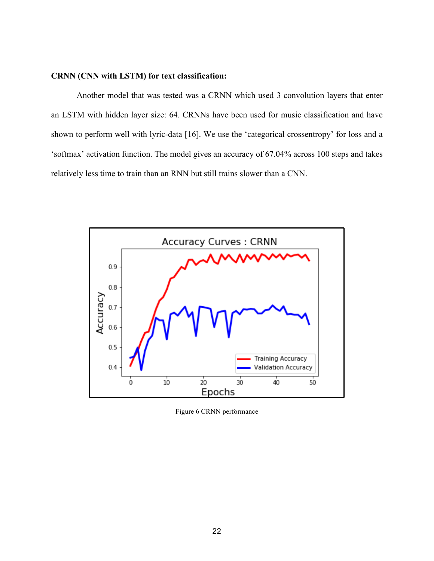### **CRNN (CNN with LSTM) for text classification:**

Another model that was tested was a CRNN which used 3 convolution layers that enter an LSTM with hidden layer size: 64. CRNNs have been used for music classification and have shown to perform well with lyric-data [16]. We use the 'categorical crossentropy' for loss and a 'softmax' activation function. The model gives an accuracy of 67.04% across 100 steps and takes relatively less time to train than an RNN but still trains slower than a CNN.



Figure 6 CRNN performance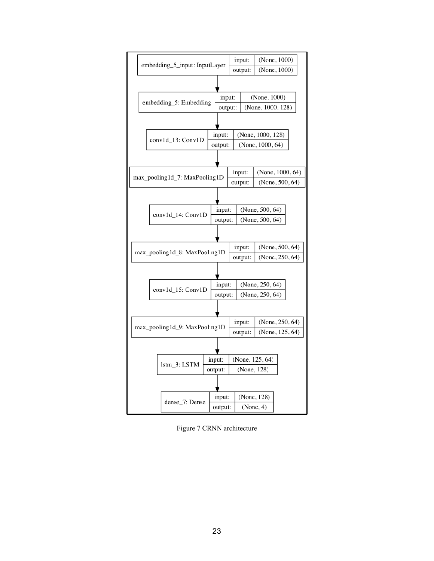

Figure 7 CRNN architecture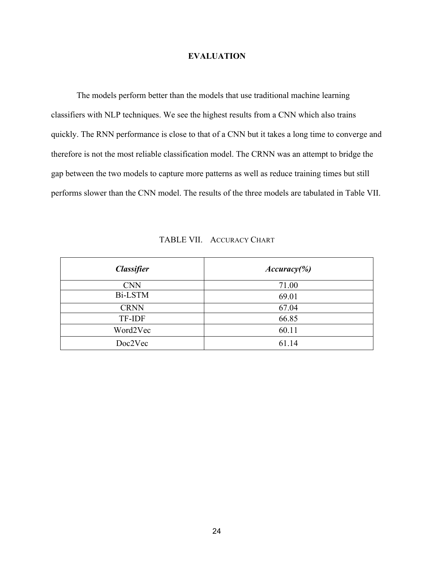### **EVALUATION**

The models perform better than the models that use traditional machine learning classifiers with NLP techniques. We see the highest results from a CNN which also trains quickly. The RNN performance is close to that of a CNN but it takes a long time to converge and therefore is not the most reliable classification model. The CRNN was an attempt to bridge the gap between the two models to capture more patterns as well as reduce training times but still performs slower than the CNN model. The results of the three models are tabulated in Table VII.

| <b>Classifier</b> | $Accuracy$ %) |
|-------------------|---------------|
| <b>CNN</b>        | 71.00         |
| <b>Bi-LSTM</b>    | 69.01         |
| <b>CRNN</b>       | 67.04         |
| <b>TF-IDF</b>     | 66.85         |
| Word2Vec          | 60.11         |
| Doc2Vec           | 61.14         |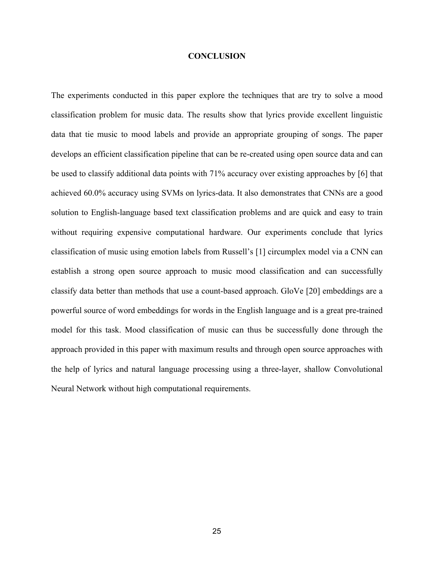#### **CONCLUSION**

The experiments conducted in this paper explore the techniques that are try to solve a mood classification problem for music data. The results show that lyrics provide excellent linguistic data that tie music to mood labels and provide an appropriate grouping of songs. The paper develops an efficient classification pipeline that can be re-created using open source data and can be used to classify additional data points with 71% accuracy over existing approaches by [6] that achieved 60.0% accuracy using SVMs on lyrics-data. It also demonstrates that CNNs are a good solution to English-language based text classification problems and are quick and easy to train without requiring expensive computational hardware. Our experiments conclude that lyrics classification of music using emotion labels from Russell's [1] circumplex model via a CNN can establish a strong open source approach to music mood classification and can successfully classify data better than methods that use a count-based approach. GloVe [20] embeddings are a powerful source of word embeddings for words in the English language and is a great pre-trained model for this task. Mood classification of music can thus be successfully done through the approach provided in this paper with maximum results and through open source approaches with the help of lyrics and natural language processing using a three-layer, shallow Convolutional Neural Network without high computational requirements.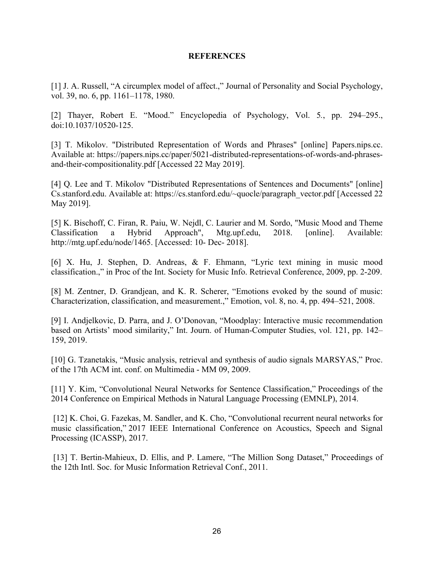### **REFERENCES**

[1] J. A. Russell, "A circumplex model of affect.," Journal of Personality and Social Psychology, vol. 39, no. 6, pp. 1161–1178, 1980.

[2] Thayer, Robert E. "Mood." Encyclopedia of Psychology, Vol. 5*.*, pp. 294–295., doi:10.1037/10520-125.

[3] T. Mikolov. "Distributed Representation of Words and Phrases" [online] Papers.nips.cc. Available at: https://papers.nips.cc/paper/5021-distributed-representations-of-words-and-phrasesand-their-compositionality.pdf [Accessed 22 May 2019].

[4] Q. Lee and T. Mikolov "Distributed Representations of Sentences and Documents" [online] Cs.stanford.edu. Available at: https://cs.stanford.edu/~quocle/paragraph\_vector.pdf [Accessed 22 May 2019].

[5] K. Bischoff, C. Firan, R. Paiu, W. Nejdl, C. Laurier and M. Sordo, "Music Mood and Theme Classification a Hybrid Approach", Mtg.upf.edu, 2018. [online]. Available: http://mtg.upf.edu/node/1465. [Accessed: 10- Dec- 2018].

[6] X. Hu, J. Stephen, D. Andreas, & F. Ehmann, "Lyric text mining in music mood classification.," in Proc of the Int. Society for Music Info. Retrieval Conference, 2009, pp. 2-209.

[8] M. Zentner, D. Grandjean, and K. R. Scherer, "Emotions evoked by the sound of music: Characterization, classification, and measurement.," Emotion, vol. 8, no. 4, pp. 494–521, 2008.

[9] I. Andjelkovic, D. Parra, and J. O'Donovan, "Moodplay: Interactive music recommendation based on Artists' mood similarity," Int. Journ. of Human-Computer Studies, vol. 121, pp. 142– 159, 2019.

[10] G. Tzanetakis, "Music analysis, retrieval and synthesis of audio signals MARSYAS," Proc. of the 17th ACM int. conf. on Multimedia - MM 09, 2009.

[11] Y. Kim, "Convolutional Neural Networks for Sentence Classification," Proceedings of the 2014 Conference on Empirical Methods in Natural Language Processing (EMNLP), 2014.

[12] K. Choi, G. Fazekas, M. Sandler, and K. Cho, "Convolutional recurrent neural networks for music classification," 2017 IEEE International Conference on Acoustics, Speech and Signal Processing (ICASSP), 2017.

[13] T. Bertin-Mahieux, D. Ellis, and P. Lamere, "The Million Song Dataset," Proceedings of the 12th Intl. Soc. for Music Information Retrieval Conf., 2011.